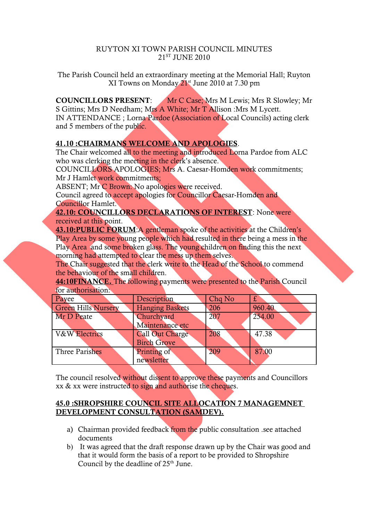#### RUYTON XI TOWN PARISH COUNCIL MINUTES 21<sup>ST</sup> JUNE 2010

The Parish Council held an extraordinary meeting at the Memorial Hall; Ruyton XI Towns on Monday 21st June 2010 at 7.30 pm

COUNCILLORS PRESENT: Mr C Case; Mrs M Lewis; Mrs R Slowley; Mr S Gittins; Mrs D Needham; Mrs A White; Mr T Allison :Mrs M Lycett. IN ATTENDANCE ; Lorna Pardoe (Association of Local Councils) acting clerk and 5 members of the public.

#### 41.10 :CHAIRMANS WELCOME AND APOLOGIES.

The Chair welcomed all to the meeting and introduced Lorna Pardoe from ALC who was clerking the meeting in the clerk's absence.

COUNCILLORS APOLOGIES; Mrs A. Caesar-Homden work commitments; Mr J Hamlet work commitments;

ABSENT; Mr C Brown: No apologies were received.

Council agreed to accept apologies for Councillor Caesar-Homden and Councillor Hamlet.

# 42.10: COUNCILLORS DECLARATIONS OF INTEREST: None were

received at this point.

43.10:PUBLIC FORUM:A gentleman spoke of the activities at the Children's Play Area by some young people which had resulted in there being a mess in the Play Area and some broken glass. The young children on finding this the next morning had attempted to clear the mess up them selves.

The Chair suggested that the clerk write to the Head of the School to commend the behaviour of the small children.

44:10FINANCE. The following payments were presented to the Parish Council for authorisation:

| Payee                      | Description                           | Chq No | £      |
|----------------------------|---------------------------------------|--------|--------|
| <b>Green Hills Nursery</b> | <b>Hanging Baskets</b>                | 206    | 960.40 |
| Mr D Peate                 | Churchyard<br>Maintenance etc         | 207    | 254.00 |
| <b>V&amp;W</b> Electrics   | Call Out Charge<br><b>Birch Grove</b> | 208    | 47.38  |
| Three Parishes             | Printing of<br>newsletter             | 209    | 87.00  |

The council resolved without dissent to approve these payments and Councillors xx & xx were instructed to sign and authorise the cheques.

### 45.0 :SHROPSHIRE COUNCIL SITE ALLOCATION 7 MANAGEMNET DEVELOPMENT CONSULTATION (SAMDEV).

- a) Chairman provided feedback from the public consultation .see attached documents
- b) It was agreed that the draft response drawn up by the Chair was good and that it would form the basis of a report to be provided to Shropshire Council by the deadline of  $25<sup>th</sup>$  June.